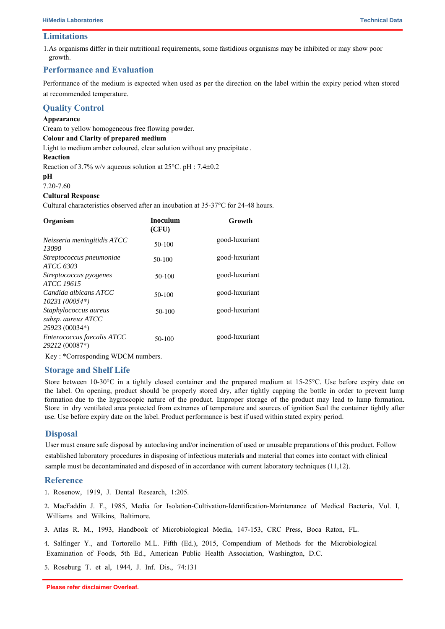## **Limitations**

1.As organisms differ in their nutritional requirements, some fastidious organisms may be inhibited or may show poor growth.

# 2. Biochemical and serological tests must be performed for confirmation of isolated organism.

## **Performance and Evaluation**

Performance of the medium is expected when used as per the direction on the label within the expiry period when stored at recommended temperature.

## **Quality Control**

## **Appearance**

Cream to yellow homogeneous free flowing powder.

### **Colour and Clarity of prepared medium**

Light to medium amber coloured, clear solution without any precipitate .

#### **Reaction**

Reaction of 3.7% w/v aqueous solution at 25°C. pH : 7.4±0.2

#### **pH**

7.20-7.60

### **Cultural Response**

Cultural characteristics observed after an incubation at 35-37°C for 24-48 hours.

| Organism                                                      | <b>Inoculum</b><br>(CFU) | Growth         |
|---------------------------------------------------------------|--------------------------|----------------|
| Neisseria meningitidis ATCC<br>13090                          | $50-100$                 | good-luxuriant |
| Streptococcus pneumoniae<br>ATCC 6303                         | 50-100                   | good-luxuriant |
| Streptococcus pyogenes<br><b>ATCC 19615</b>                   | 50-100                   | good-luxuriant |
| Candida albicans ATCC<br>$10231(00054*)$                      | $50-100$                 | good-luxuriant |
| Staphylococcus aureus<br>subsp. aureus ATCC<br>25923 (00034*) | 50-100                   | good-luxuriant |
| Enterococcus faecalis ATCC<br>29212 (00087*)                  | 50-100                   | good-luxuriant |

Key : \*Corresponding WDCM numbers.

## **Storage and Shelf Life**

Store between 10-30°C in a tightly closed container and the prepared medium at 15-25°C. Use before expiry date on the label. On opening, product should be properly stored dry, after tightly capping the bottle in order to prevent lump formation due to the hygroscopic nature of the product. Improper storage of the product may lead to lump formation. Store in dry ventilated area protected from extremes of temperature and sources of ignition Seal the container tightly after use. Use before expiry date on the label. Product performance is best if used within stated expiry period.

## **Disposal**

User must ensure safe disposal by autoclaving and/or incineration of used or unusable preparations of this product. Follow established laboratory procedures in disposing of infectious materials and material that comes into contact with clinical sample must be decontaminated and disposed of in accordance with current laboratory techniques (11,12).

## **Reference**

1. Rosenow, 1919, J. Dental Research, 1:205.

2. MacFaddin J. F., 1985, Media for Isolation-Cultivation-Identification-Maintenance of Medical Bacteria, Vol. I, Williams and Wilkins, Baltimore.

3. Atlas R. M., 1993, Handbook of Microbiological Media, 147-153, CRC Press, Boca Raton, FL.

4. Salfinger Y., and Tortorello M.L. Fifth (Ed.), 2015, Compendium of Methods for the Microbiological Examination of Foods, 5th Ed., American Public Health Association, Washington, D.C.

5. Roseburg T. et al, 1944, J. Inf. Dis., 74:131